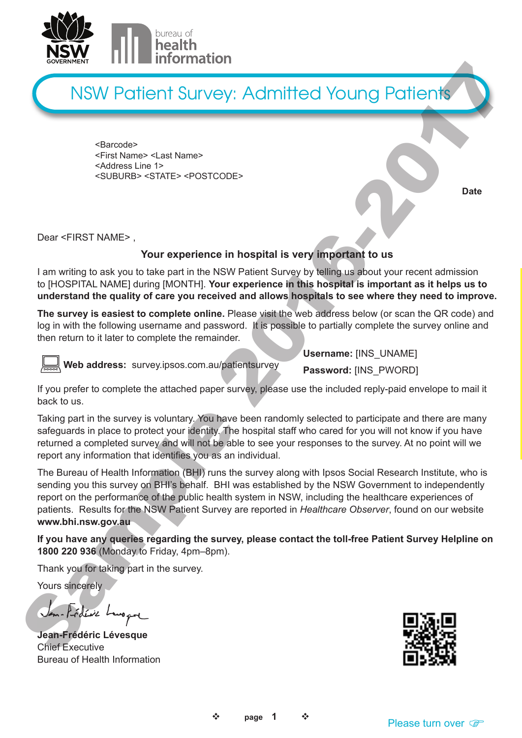

<Barcode> <First Name> <Last Name> <Address Line 1> <SUBURB> <STATE> <POSTCODE>

**Date**

Dear <FIRST NAME> ,

### **Your experience in hospital is very important to us**

I am writing to ask you to take part in the NSW Patient Survey by telling us about your recent admission to [HOSPITAL NAME] during [MONTH]. **Your experience in this hospital is important as it helps us to understand the quality of care you received and allows hospitals to see where they need to improve.**

**The survey is easiest to complete online.** Please visit the web address below (or scan the QR code) and log in with the following username and password. It is possible to partially complete the survey online and then return to it later to complete the remainder.

 **Web address:** survey.ipsos.com.au/patientsurvey

**Username:** [INS\_UNAME]

**Password:** [INS\_PWORD]

If you prefer to complete the attached paper survey, please use the included reply-paid envelope to mail it back to us.

Taking part in the survey is voluntary. You have been randomly selected to participate and there are many safeguards in place to protect your identity. The hospital staff who cared for you will not know if you have returned a completed survey and will not be able to see your responses to the survey. At no point will we report any information that identifies you as an individual.

The Bureau of Health Information (BHI) runs the survey along with Ipsos Social Research Institute, who is sending you this survey on BHI's behalf. BHI was established by the NSW Government to independently report on the performance of the public health system in NSW, including the healthcare experiences of patients. Results for the NSW Patient Survey are reported in *Healthcare Observer*, found on our website **www.bhi.nsw.gov.au** NSW Patient Survey: Admitted Young Patients<br>
Survey: Admitted Young Patients<br>
Surveys and the search survey<br>
Surveys are starting that is very important to us<br>
the survey is exactly to complete a line behavior than the sur Sample 2018 (State of the state of the state of the state of the state of the state of the state of the state of the state of the state of the state of the state of the state of the state of the state of the state of the s

**If you have any queries regarding the survey, please contact the toll-free Patient Survey Helpline on 1800 220 936** (Monday to Friday, 4pm–8pm).

Thank you for taking part in the survey.

Yours sincerely

**Jean-Frédéric Lévesque** Chief Executive Bureau of Health Information

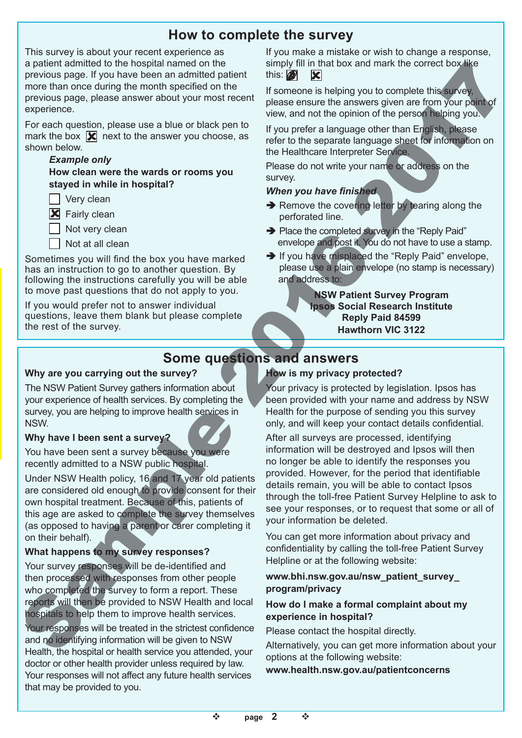# **How to complete the survey**

This survey is about your recent experience as a patient admitted to the hospital named on the previous page. If you have been an admitted patient more than once during the month specified on the previous page, please answer about your most recent experience.

For each question, please use a blue or black pen to mark the box  $\mathbf{\mathcal{R}}$  next to the answer you choose, as shown below.

#### *Example only*

 **How clean were the wards or rooms you stayed in while in hospital?**

 $\Box$  Very clean

**X** Fairly clean

Not very clean

Not at all clean

Sometimes you will find the box you have marked has an instruction to go to another question. By following the instructions carefully you will be able to move past questions that do not apply to you.

If you would prefer not to answer individual questions, leave them blank but please complete the rest of the survey.

If you make a mistake or wish to change a response, simply fill in that box and mark the correct box like this:  $\mathbb{Z}$ 

If someone is helping you to complete this survey, please ensure the answers given are from your point of view, and not the opinion of the person helping you.

If you prefer a language other than English, please refer to the separate language sheet for information on the Healthcare Interpreter Service.

Please do not write your name or address on the survey.

#### *When you have finished*

- $\rightarrow$  Remove the covering letter by tearing along the perforated line.
- Place the completed survey in the "Reply Paid" envelope and post it. You do not have to use a stamp.
- $\rightarrow$  If you have misplaced the "Reply Paid" envelope, please use a plain envelope (no stamp is necessary) and address to:

#### **NSW Patient Survey Program Ipsos Social Research Institute Reply Paid 84599 Hawthorn VIC 3122**

# **Some questions and answers**

#### **Why are you carrying out the survey?**

The NSW Patient Survey gathers information about your experience of health services. By completing the survey, you are helping to improve health services in NSW.

### **Why have I been sent a survey?**

You have been sent a survey because you were recently admitted to a NSW public hospital.

Under NSW Health policy, 16 and 17 year old patients are considered old enough to provide consent for their own hospital treatment. Because of this, patients of this age are asked to complete the survey themselves (as opposed to having a parent or carer completing it on their behalf).

### **What happens to my survey responses?**

Your survey responses will be de-identified and then processed with responses from other people who completed the survey to form a report. These reports will then be provided to NSW Health and local hospitals to help them to improve health services.

Your responses will be treated in the strictest confidence and no identifying information will be given to NSW Health, the hospital or health service you attended, your doctor or other health provider unless required by law. Your responses will not affect any future health services that may be provided to you.

### **How is my privacy protected?**

Your privacy is protected by legislation. Ipsos has been provided with your name and address by NSW Health for the purpose of sending you this survey only, and will keep your contact details confidential.

After all surveys are processed, identifying information will be destroyed and Ipsos will then no longer be able to identify the responses you provided. However, for the period that identifiable details remain, you will be able to contact Ipsos through the toll-free Patient Survey Helpline to ask to see your responses, or to request that some or all of your information be deleted. a particular statistics of the control of the following the matter is the following website: The following website: The following website: The following website: The following website: The following website: The following

You can get more information about privacy and confidentiality by calling the toll-free Patient Survey Helpline or at the following website:

#### **www.bhi.nsw.gov.au/nsw\_patient\_survey\_ program/privacy**

### **How do I make a formal complaint about my experience in hospital?**

Please contact the hospital directly.

Alternatively, you can get more information about your

**www.health.nsw.gov.au/patientconcerns**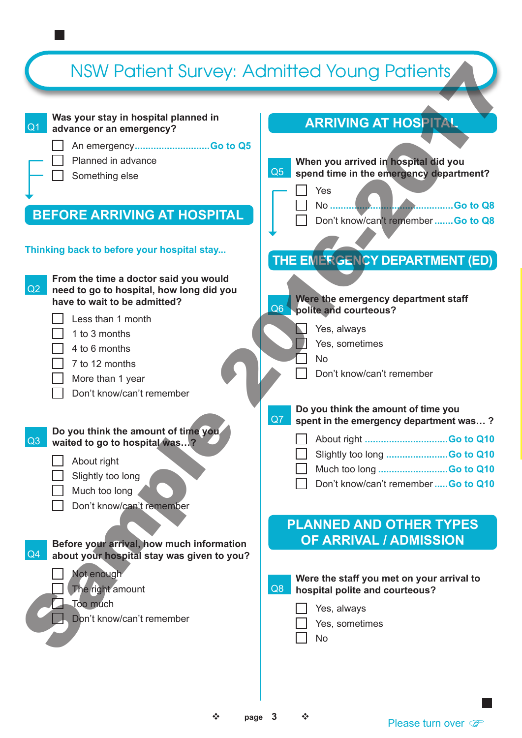

**advance or an emergency?** 

An emergency**............................Go to Q5**

- Planned in advance Something else C<sub>25</sub>
- 

# **BEFORE ARRIVING AT HOSPITAL**

## **Thinking back to before your hospital stay...**

 $Q2$  **From the time a doctor said you would need to go to hospital, how long did you have to wait to be admitted?** Less than 1 month 1 to 3 months 4 to 6 months 7 to 12 months More than 1 year Don't know/can't remember Q3 **Do you think the amount of time you waited to go to hospital was…?**  About right Slightly too long Much too long Don't know/can't remember  $Q<sub>4</sub>$  **Before your arrival, how much information about your hospital stay was given to you?** Not enough The right amount Too much  $Q7$ Q6 Q8

Don't know/can't remember

## **ARRIVING AT HOSPITAL**



 $\div$  page 3  $\div$ 

Please turn over  $\mathbb{F}$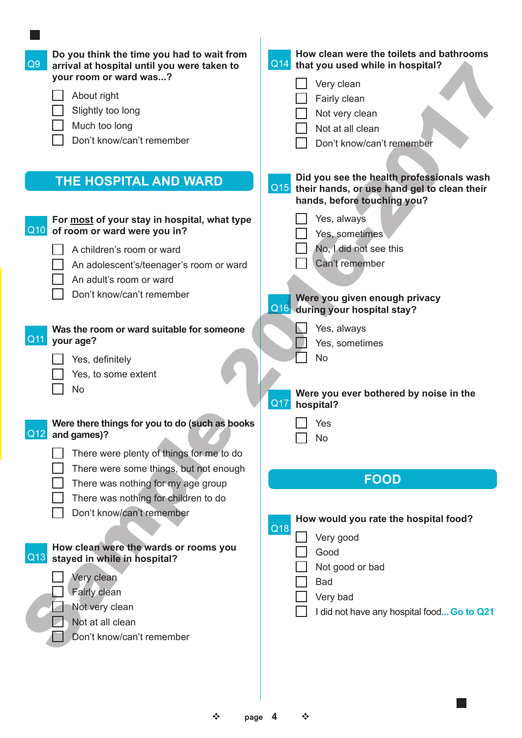| Do you think the time you had to wait from<br>Q9<br>arrival at hospital until you were taken to<br>your room or ward was?<br>About right<br>Slightly too long<br>Much too long<br>Don't know/can't remember                                                                                                                                                                                                                                                                                                                                                                                                                                                                                                                                                                                   | How clean were the toilets and bathrooms<br>Q14<br>that you used while in hospital?<br>Very clean<br>Fairly clean<br>Not very clean<br>Not at all clean<br>Don't know/can't remember                                                                                                                                                                                                                                                                 |
|-----------------------------------------------------------------------------------------------------------------------------------------------------------------------------------------------------------------------------------------------------------------------------------------------------------------------------------------------------------------------------------------------------------------------------------------------------------------------------------------------------------------------------------------------------------------------------------------------------------------------------------------------------------------------------------------------------------------------------------------------------------------------------------------------|------------------------------------------------------------------------------------------------------------------------------------------------------------------------------------------------------------------------------------------------------------------------------------------------------------------------------------------------------------------------------------------------------------------------------------------------------|
| THE HOSPITAL AND WARD                                                                                                                                                                                                                                                                                                                                                                                                                                                                                                                                                                                                                                                                                                                                                                         | Did you see the health professionals wash<br>Q15<br>their hands, or use hand gel to clean their<br>hands, before touching you?                                                                                                                                                                                                                                                                                                                       |
| For most of your stay in hospital, what type<br>Q10 of room or ward were you in?<br>A children's room or ward<br>An adolescent's/teenager's room or ward<br>An adult's room or ward<br>Don't know/can't remember<br>Was the room or ward suitable for someone<br> Q11 <br>your age?<br>Yes, definitely<br>Yes, to some extent<br>No<br>Were there things for you to do (such as books<br>Q12<br>and games)?<br>There were plenty of things for me to do<br>There were some things, but not enough<br>There was nothing for my age group<br>There was nothing for children to do<br>Don't know/can't remember<br>How clean were the wards or rooms you<br>Q13<br>stayed in while in hospital?<br>Very clean<br>Fairly clean<br>Not very clean<br>Not at all clean<br>Don't know/can't remember | Yes, always<br>Yes, sometimes<br>No, I did not see this<br>Can't remember<br>Were you given enough privacy<br>Q16 during your hospital stay?<br>Yes, always<br>Yes, sometimes<br><b>No</b><br>Were you ever bothered by noise in the<br>Q17<br>hospital?<br>Yes<br>No<br><b>FOOD</b><br>How would you rate the hospital food?<br>Q18<br>Very good<br>Good<br>Not good or bad<br><b>Bad</b><br>Very bad<br>I did not have any hospital food Go to Q21 |
|                                                                                                                                                                                                                                                                                                                                                                                                                                                                                                                                                                                                                                                                                                                                                                                               |                                                                                                                                                                                                                                                                                                                                                                                                                                                      |

**College** 

 $\div$  **page 4**  $\div$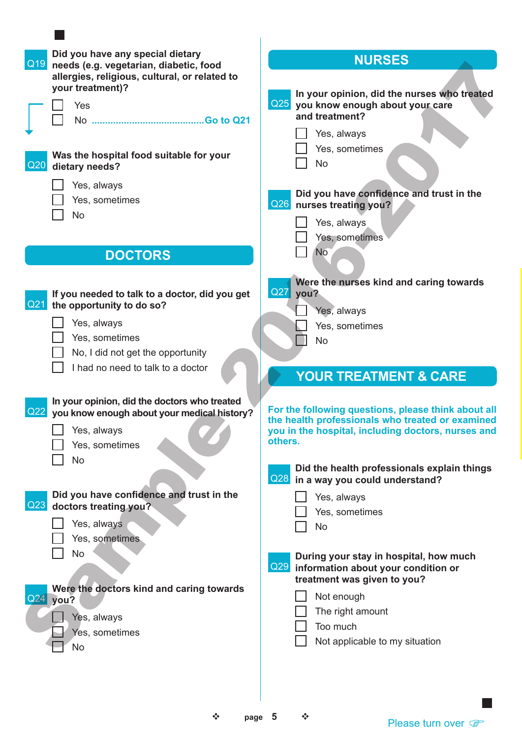| Did you have any special dietary<br>Q19 needs (e.g. vegetarian, diabetic, food<br>allergies, religious, cultural, or related to<br>your treatment)?<br>Yes<br><b>No</b>   | <b>NURSES</b><br>In your opinion, did the nurses who treated<br>$\vert$ Q25<br>you know enough about your care<br>and treatment?<br>Yes, always                          |
|---------------------------------------------------------------------------------------------------------------------------------------------------------------------------|--------------------------------------------------------------------------------------------------------------------------------------------------------------------------|
| Was the hospital food suitable for your<br>Q2C<br>dietary needs?                                                                                                          | Yes, sometimes<br>No<br>$\mathbf{L}$                                                                                                                                     |
| Yes, always<br>$\sim$<br>Yes, sometimes                                                                                                                                   | Did you have confidence and trust in the<br>Q26<br>nurses treating you?                                                                                                  |
| $\mathbb{R}^n$<br><b>No</b>                                                                                                                                               | Yes, always<br>Yes, sometimes                                                                                                                                            |
| <b>DOCTORS</b>                                                                                                                                                            | Were the nurses kind and caring towards                                                                                                                                  |
| If you needed to talk to a doctor, did you get<br>Q <sub>21</sub><br>the opportunity to do so?                                                                            | Q27 you?<br>Yes, always                                                                                                                                                  |
| Yes, always<br>$\Box$<br>Yes, sometimes                                                                                                                                   | Yes, sometimes<br><b>No</b>                                                                                                                                              |
| No, I did not get the opportunity<br>I had no need to talk to a doctor                                                                                                    | <b>YOUR TREATMENT &amp; CARE</b>                                                                                                                                         |
| In your opinion, did the doctors who treated<br>Q22 you know enough about your medical history?<br>Yes, always<br>$\sim$<br>$\mathcal{L}_{\mathcal{A}}$<br>Yes, sometimes | For the following questions, please think about all<br>the health professionals who treated or examined<br>you in the hospital, including doctors, nurses and<br>others. |
| $\Box$<br>No                                                                                                                                                              | Did the health professionals explain things<br>Q28 in a way you could understand?                                                                                        |
| Did you have confidence and trust in the<br>Q23<br>doctors treating you?                                                                                                  | Yes, always<br>Yes, sometimes                                                                                                                                            |
| Yes, always<br>$\mathbb{R}^n$<br>Yes, sometimes                                                                                                                           | $\overline{\phantom{a}}$<br>No                                                                                                                                           |
| $\Box$<br><b>No</b>                                                                                                                                                       | During your stay in hospital, how much<br>Q29<br>information about your condition or<br>treatment was given to you?                                                      |
| Were the doctors kind and caring towards<br>Q24 you?<br>Yes, always<br>$\sqcup$                                                                                           | Not enough<br>The right amount                                                                                                                                           |
|                                                                                                                                                                           | Too much                                                                                                                                                                 |

 **page 5** 

Please turn over  $\mathcal{F}$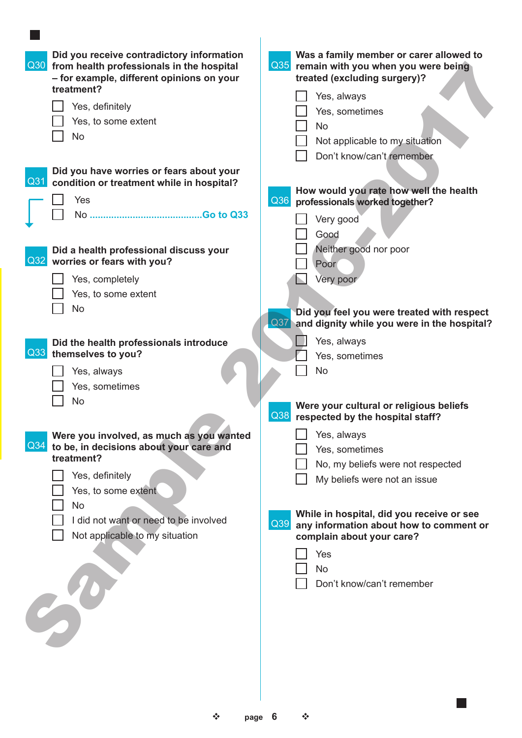| Did you receive contradictory information<br>Q30 from health professionals in the hospital   | Was a family member or carer allowed to<br>Q35<br>remain with you when you were being |
|----------------------------------------------------------------------------------------------|---------------------------------------------------------------------------------------|
| - for example, different opinions on your                                                    | treated (excluding surgery)?                                                          |
| treatment?                                                                                   | Yes, always                                                                           |
| Yes, definitely                                                                              | Yes, sometimes                                                                        |
| Yes, to some extent                                                                          | <b>No</b>                                                                             |
| <b>No</b>                                                                                    | Not applicable to my situation                                                        |
|                                                                                              | Don't know/can't remember                                                             |
| Did you have worries or fears about your<br>Q31<br>condition or treatment while in hospital? |                                                                                       |
| Yes                                                                                          | How would you rate how well the health<br>Q36<br>professionals worked together?       |
|                                                                                              | Very good                                                                             |
|                                                                                              | Good                                                                                  |
| Did a health professional discuss your                                                       | Neither good nor poor                                                                 |
| Q32 worries or fears with you?                                                               | Poor                                                                                  |
| Yes, completely                                                                              | Very poor                                                                             |
| Yes, to some extent                                                                          |                                                                                       |
| No                                                                                           | Did you feel you were treated with respect                                            |
|                                                                                              | Q37<br>and dignity while you were in the hospital?                                    |
| Did the health professionals introduce                                                       | Yes, always                                                                           |
| Q <sub>33</sub><br>themselves to you?                                                        | Yes, sometimes                                                                        |
| Yes, always                                                                                  | No                                                                                    |
| Yes, sometimes                                                                               |                                                                                       |
| No                                                                                           | Were your cultural or religious beliefs                                               |
|                                                                                              | Q38<br>respected by the hospital staff?                                               |
| Were you involved, as much as you wanted                                                     | Yes, always                                                                           |
| Q34<br>to be, in decisions about your care and<br>treatment?                                 | Yes, sometimes                                                                        |
| Yes, definitely                                                                              | No, my beliefs were not respected                                                     |
| Yes, to some extent                                                                          | My beliefs were not an issue                                                          |
| No                                                                                           |                                                                                       |
| I did not want or need to be involved                                                        | While in hospital, did you receive or see<br>Q39                                      |
| Not applicable to my situation                                                               | any information about how to comment or<br>complain about your care?                  |
|                                                                                              | Yes                                                                                   |
|                                                                                              | No                                                                                    |
|                                                                                              | Don't know/can't remember                                                             |
|                                                                                              |                                                                                       |
|                                                                                              |                                                                                       |
|                                                                                              |                                                                                       |
|                                                                                              |                                                                                       |
|                                                                                              |                                                                                       |
|                                                                                              |                                                                                       |

 $\overline{\phantom{a}}$ 

 **page 6**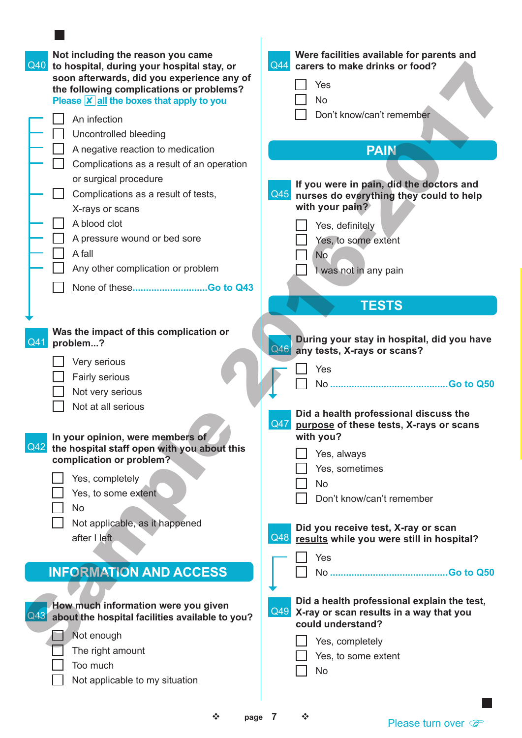| Not including the reason you came<br><b>Q40</b><br>to hospital, during your hospital stay, or<br>soon afterwards, did you experience any of<br>the following complications or problems?<br>Please $\boxed{\mathsf{x}}$ all the boxes that apply to you<br>An infection<br>Uncontrolled bleeding<br>A negative reaction to medication<br>Complications as a result of an operation<br>or surgical procedure<br>Complications as a result of tests,<br>X-rays or scans<br>A blood clot<br>A pressure wound or bed sore<br>A fall<br>Any other complication or problem | Were facilities available for parents and<br>Q44<br>carers to make drinks or food?<br>Yes<br>No<br>Don't know/can't remember<br><b>PAIN</b><br>If you were in pain, did the doctors and<br>Q45 nurses do everything they could to help<br>with your pain?<br>Yes, definitely<br>Yes, to some extent<br>I was not in any pain |
|---------------------------------------------------------------------------------------------------------------------------------------------------------------------------------------------------------------------------------------------------------------------------------------------------------------------------------------------------------------------------------------------------------------------------------------------------------------------------------------------------------------------------------------------------------------------|------------------------------------------------------------------------------------------------------------------------------------------------------------------------------------------------------------------------------------------------------------------------------------------------------------------------------|
|                                                                                                                                                                                                                                                                                                                                                                                                                                                                                                                                                                     |                                                                                                                                                                                                                                                                                                                              |
| Was the impact of this complication or<br>Q <sub>41</sub><br>problem?<br>Very serious<br>Fairly serious<br>Not very serious<br>Not at all serious                                                                                                                                                                                                                                                                                                                                                                                                                   | <b>TESTS</b><br>During your stay in hospital, did you have<br>Q46 any tests, X-rays or scans?<br>Yes<br>No.<br>Did a health professional discuss the<br><b>Q47</b> purpose of these tests, X-rays or scans<br>with you?                                                                                                      |
| In your opinion, were members of<br>Q42 the hospital staff open with you about this<br>complication or problem?<br>Yes, completely<br>Yes, to some extent<br>$\Box$<br>No                                                                                                                                                                                                                                                                                                                                                                                           | Yes, always<br>Yes, sometimes<br><b>No</b><br>Г<br>Don't know/can't remember                                                                                                                                                                                                                                                 |
| Not applicable, as it happened<br>after I left<br><b>INFORMATION AND ACCESS</b>                                                                                                                                                                                                                                                                                                                                                                                                                                                                                     | Did you receive test, X-ray or scan<br><b>Q48</b><br>results while you were still in hospital?<br>Yes<br>No.                                                                                                                                                                                                                 |
| How much information were you given<br>about the hospital facilities available to you?<br>Not enough<br>The right amount<br>$\mathcal{L}_{\mathcal{A}}$<br>Too much<br>Not applicable to my situation                                                                                                                                                                                                                                                                                                                                                               | Did a health professional explain the test,<br>Q49 X-ray or scan results in a way that you<br>could understand?<br>Yes, completely<br>Yes, to some extent<br>No                                                                                                                                                              |
|                                                                                                                                                                                                                                                                                                                                                                                                                                                                                                                                                                     |                                                                                                                                                                                                                                                                                                                              |

 **page 7** 

Please turn over  $\circledast$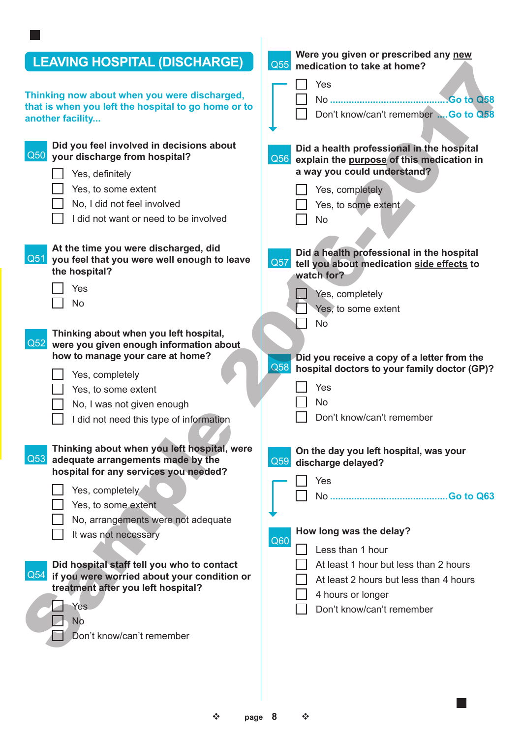| Were you given or prescribed any new<br>Q55<br>medication to take at home?                                                                                                                                                                                            |
|-----------------------------------------------------------------------------------------------------------------------------------------------------------------------------------------------------------------------------------------------------------------------|
| Yes<br>Don't know/can't remember  Go to Q58                                                                                                                                                                                                                           |
| Did a health professional in the hospital<br>Q56<br>explain the purpose of this medication in<br>a way you could understand?<br>Yes, completely<br>Yes, to some extent<br><b>No</b>                                                                                   |
| Did a health professional in the hospital<br>Q57<br>tell you about medication side effects to<br>watch for?<br>Yes, completely<br>Yes, to some extent                                                                                                                 |
| <b>No</b><br>Did you receive a copy of a letter from the<br>Q58<br>hospital doctors to your family doctor (GP)?<br>Yes<br><b>No</b><br>Don't know/can't remember                                                                                                      |
| On the day you left hospital, was your<br>Q59<br>discharge delayed?<br>Yes<br>How long was the delay?<br>Q60<br>Less than 1 hour<br>At least 1 hour but less than 2 hours<br>At least 2 hours but less than 4 hours<br>4 hours or longer<br>Don't know/can't remember |
|                                                                                                                                                                                                                                                                       |

 **page 8**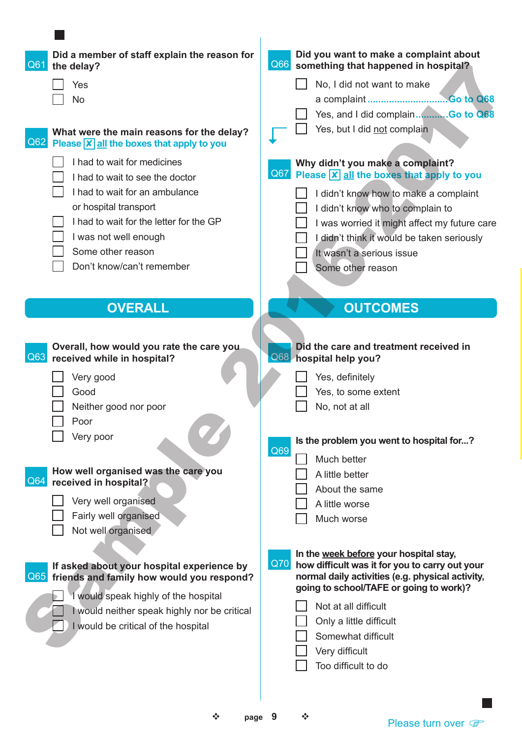| Did a member of staff explain the reason for                                                                        |                                                                                                                                                                                                       |
|---------------------------------------------------------------------------------------------------------------------|-------------------------------------------------------------------------------------------------------------------------------------------------------------------------------------------------------|
| Q <sub>6</sub><br>the delay?                                                                                        | Did you want to make a complaint about<br><b>Q66</b> something that happened in hospital?                                                                                                             |
| Yes<br>No                                                                                                           | $\Box$<br>No, I did not want to make<br>Yes, and I did complain Go to Q68                                                                                                                             |
| What were the main reasons for the delay?<br>$\overline{Q62}$ Please $\overline{X}$ all the boxes that apply to you | Yes, but I did not complain                                                                                                                                                                           |
| I had to wait for medicines<br>I had to wait to see the doctor                                                      | Why didn't you make a complaint?<br>Q67<br>Please X all the boxes that apply to you                                                                                                                   |
| I had to wait for an ambulance<br>or hospital transport                                                             | I didn't know how to make a complaint<br>I didn't know who to complain to                                                                                                                             |
| I had to wait for the letter for the GP<br>I was not well enough                                                    | was worried it might affect my future care<br>I didn't think it would be taken seriously                                                                                                              |
| Some other reason<br>Don't know/can't remember                                                                      | It wasn't a serious issue<br>Some other reason                                                                                                                                                        |
| <b>OVERALL</b>                                                                                                      | <b>OUTCOMES</b>                                                                                                                                                                                       |
| Overall, how would you rate the care you<br>Q63<br>received while in hospital?                                      | Did the care and treatment received in<br>Q68<br>hospital help you?                                                                                                                                   |
| Very good<br>Good                                                                                                   | Yes, definitely<br>Yes, to some extent                                                                                                                                                                |
| Neither good nor poor<br>Poor                                                                                       | No, not at all                                                                                                                                                                                        |
|                                                                                                                     |                                                                                                                                                                                                       |
| $\Box$<br>Very poor                                                                                                 | Is the problem you went to hospital for?<br>Q69<br>Much better                                                                                                                                        |
| How well organised was the care you<br>Q <sub>6</sub><br>received in hospital?                                      | A little better                                                                                                                                                                                       |
| Very well organised                                                                                                 | About the same<br>A little worse                                                                                                                                                                      |
| Fairly well organised<br>$\Box$<br>$\Box$<br>Not well organised                                                     | Much worse                                                                                                                                                                                            |
| If asked about your hospital experience by<br>Q65<br>friends and family how would you respond?                      | In the week before your hospital stay,<br><b>Q70</b><br>how difficult was it for you to carry out your<br>normal daily activities (e.g. physical activity,<br>going to school/TAFE or going to work)? |
| I would speak highly of the hospital<br>$\mathbf{r}$<br>I would neither speak highly nor be critical                | Not at all difficult                                                                                                                                                                                  |
| F I<br>I would be critical of the hospital                                                                          | Only a little difficult<br>Somewhat difficult                                                                                                                                                         |

 $\overline{\phantom{a}}$ 

 **page 9** 

Please turn over  $\circledast$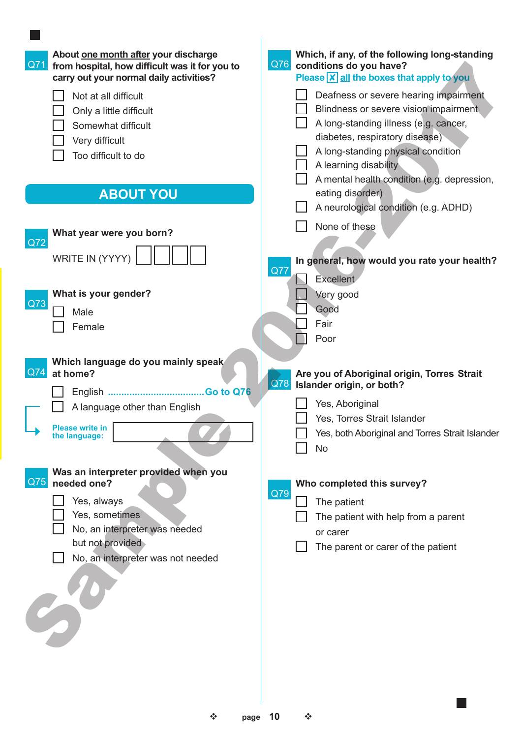| About one month after your discharge<br>Q71<br>from hospital, how difficult was it for you to<br>carry out your normal daily activities?<br>Not at all difficult<br>Only a little difficult<br>Somewhat difficult<br>Very difficult<br>Too difficult to do | Which, if any, of the following long-standing<br>Q76<br>conditions do you have?<br>Please $\overline{X}$ all the boxes that apply to you<br>Deafness or severe hearing impairment<br>Blindness or severe vision impairment<br>A long-standing illness (e.g. cancer,<br>diabetes, respiratory disease)<br>A long-standing physical condition<br>A learning disability<br>A mental health condition (e.g. depression, |
|------------------------------------------------------------------------------------------------------------------------------------------------------------------------------------------------------------------------------------------------------------|---------------------------------------------------------------------------------------------------------------------------------------------------------------------------------------------------------------------------------------------------------------------------------------------------------------------------------------------------------------------------------------------------------------------|
| <b>ABOUT YOU</b>                                                                                                                                                                                                                                           | eating disorder)<br>A neurological condition (e.g. ADHD)                                                                                                                                                                                                                                                                                                                                                            |
| What year were you born?<br>Q72<br>WRITE IN (YYYY)<br>What is your gender?                                                                                                                                                                                 | None of these<br>In general, how would you rate your health?<br>Q77<br>Excellent<br>Very good                                                                                                                                                                                                                                                                                                                       |
| Q73<br>Male<br>Female                                                                                                                                                                                                                                      | Good<br>Fair<br>Poor                                                                                                                                                                                                                                                                                                                                                                                                |
| Which language do you mainly speak<br>Q74<br>at home?<br>A language other than English<br><b>Please write in</b><br>the language:                                                                                                                          | Are you of Aboriginal origin, Torres Strait<br>Q78<br>Islander origin, or both?<br>Yes, Aboriginal<br>Yes, Torres Strait Islander<br>Yes, both Aboriginal and Torres Strait Islander<br>No                                                                                                                                                                                                                          |
| Was an interpreter provided when you<br>Q75<br>needed one?<br>Yes, always<br>Yes, sometimes<br>No, an interpreter was needed<br>but not provided<br>No, an interpreter was not needed                                                                      | Who completed this survey?<br>Q79<br>The patient<br>The patient with help from a parent<br>or carer<br>The parent or carer of the patient                                                                                                                                                                                                                                                                           |

**College** 

 **page 10**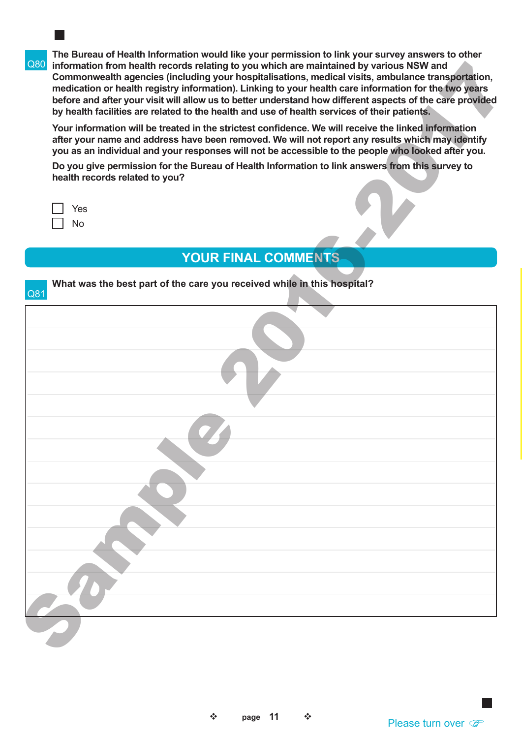Q80 **information from health records relating to you which are maintained by various NSW and The Bureau of Health Information would like your permission to link your survey answers to other Commonwealth agencies (including your hospitalisations, medical visits, ambulance transportation, medication or health registry information). Linking to your health care information for the two years before and after your visit will allow us to better understand how different aspects of the care provided by health facilities are related to the health and use of health services of their patients.**

| Yes |
|-----|
| N٥  |

| <b>Q80</b> information from health records relating to you which are maintained by various NSW and<br>Commonwealth agencies (including your hospitalisations, medical visits, ambulance transportation,<br>medication or health registry information). Linking to your health care information for the two years<br>before and after your visit will allow us to better understand how different aspects of the care provided<br>by health facilities are related to the health and use of health services of their patients.<br>Your information will be treated in the strictest confidence. We will receive the linked information<br>after your name and address have been removed. We will not report any results which may identify<br>you as an individual and your responses will not be accessible to the people who looked after you. |
|-------------------------------------------------------------------------------------------------------------------------------------------------------------------------------------------------------------------------------------------------------------------------------------------------------------------------------------------------------------------------------------------------------------------------------------------------------------------------------------------------------------------------------------------------------------------------------------------------------------------------------------------------------------------------------------------------------------------------------------------------------------------------------------------------------------------------------------------------|
| Do you give permission for the Bureau of Health Information to link answers from this survey to<br>health records related to you?<br>$\mathcal{L}_{\mathcal{A}}$<br>Yes<br>$\Box$<br>No                                                                                                                                                                                                                                                                                                                                                                                                                                                                                                                                                                                                                                                         |
| YOUR FINAL COMMENTS                                                                                                                                                                                                                                                                                                                                                                                                                                                                                                                                                                                                                                                                                                                                                                                                                             |
| What was the best part of the care you received while in this hospital?<br>Q81                                                                                                                                                                                                                                                                                                                                                                                                                                                                                                                                                                                                                                                                                                                                                                  |
|                                                                                                                                                                                                                                                                                                                                                                                                                                                                                                                                                                                                                                                                                                                                                                                                                                                 |
|                                                                                                                                                                                                                                                                                                                                                                                                                                                                                                                                                                                                                                                                                                                                                                                                                                                 |
|                                                                                                                                                                                                                                                                                                                                                                                                                                                                                                                                                                                                                                                                                                                                                                                                                                                 |
|                                                                                                                                                                                                                                                                                                                                                                                                                                                                                                                                                                                                                                                                                                                                                                                                                                                 |
|                                                                                                                                                                                                                                                                                                                                                                                                                                                                                                                                                                                                                                                                                                                                                                                                                                                 |
|                                                                                                                                                                                                                                                                                                                                                                                                                                                                                                                                                                                                                                                                                                                                                                                                                                                 |
|                                                                                                                                                                                                                                                                                                                                                                                                                                                                                                                                                                                                                                                                                                                                                                                                                                                 |
|                                                                                                                                                                                                                                                                                                                                                                                                                                                                                                                                                                                                                                                                                                                                                                                                                                                 |
|                                                                                                                                                                                                                                                                                                                                                                                                                                                                                                                                                                                                                                                                                                                                                                                                                                                 |
|                                                                                                                                                                                                                                                                                                                                                                                                                                                                                                                                                                                                                                                                                                                                                                                                                                                 |